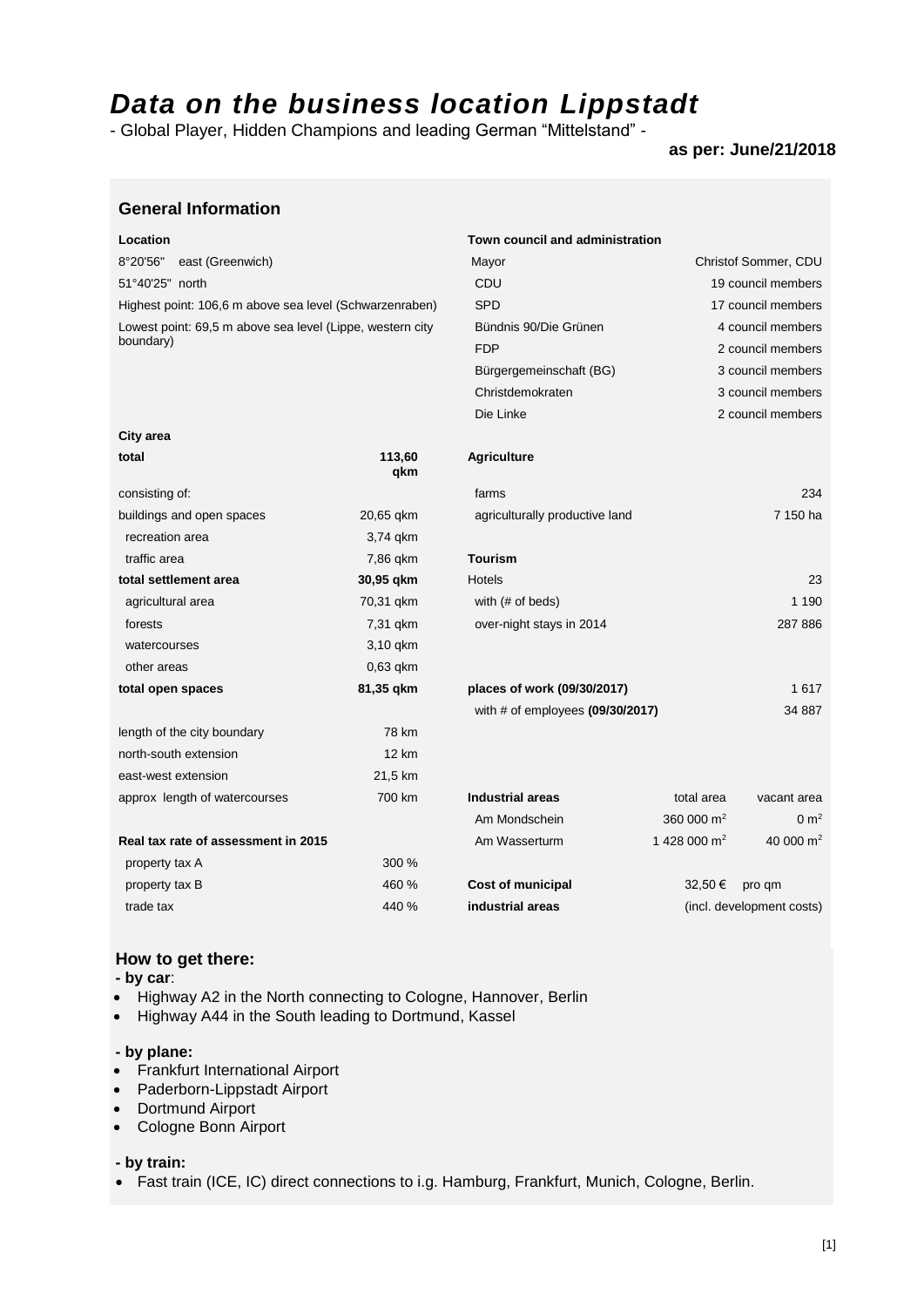# *Data on the business location Lippstadt*

- Global Player, Hidden Champions and leading German "Mittelstand" -

# **as per: June/21/2018**

| <b>General Information</b> |  |
|----------------------------|--|
|----------------------------|--|

**City area**

Lowest point: 69,5 m above sea level (Lippe, western city boundary)

# **Location Town council and administration** 8°20'56" east (Greenwich) Mayor Christof Sommer, CDU 51°40'25" north 19 council members and the CDU 19 council members and the council members of the council members of the council members of the council members of the council members of the council members of the council me Highest point: 106,6 m above sea level (Schwarzenraben) SPD 17 council members Bündnis 90/Die Grünen 4 council members FDP 2 council members Bürgergemeinschaft (BG) 3 council members Christdemokraten 3 council members Die Linke 2 council members

| total                               | 113,60<br>qkm | <b>Agriculture</b>                   |                |                           |
|-------------------------------------|---------------|--------------------------------------|----------------|---------------------------|
| consisting of:                      |               | farms                                |                | 234                       |
| buildings and open spaces           | 20,65 gkm     | agriculturally productive land       |                | 7 150 ha                  |
| recreation area                     | 3,74 gkm      |                                      |                |                           |
| traffic area                        | 7,86 qkm      | <b>Tourism</b>                       |                |                           |
| total settlement area               | 30,95 gkm     | <b>Hotels</b>                        |                | 23                        |
| agricultural area                   | 70,31 gkm     | with (# of beds)                     |                | 1 1 9 0                   |
| forests                             | 7,31 gkm      | over-night stays in 2014             |                | 287 886                   |
| watercourses                        | 3,10 gkm      |                                      |                |                           |
| other areas                         | $0,63$ qkm    |                                      |                |                           |
| total open spaces                   | 81,35 gkm     | places of work (09/30/2017)          |                | 1617                      |
|                                     |               | with $#$ of employees $(09/30/2017)$ |                | 34 887                    |
| length of the city boundary         | 78 km         |                                      |                |                           |
| north-south extension               | <b>12 km</b>  |                                      |                |                           |
| east-west extension                 | 21,5 km       |                                      |                |                           |
| approx length of watercourses       | 700 km        | <b>Industrial areas</b>              | total area     | vacant area               |
|                                     |               | Am Mondschein                        | 360 000 $m2$   | $0 \text{ m}^2$           |
| Real tax rate of assessment in 2015 |               | Am Wasserturm                        | 1 428 000 $m2$ | 40 000 $m2$               |
| property tax A                      | 300 %         |                                      |                |                           |
| property tax B                      | 460 %         | <b>Cost of municipal</b>             | 32.50 €        | pro qm                    |
| trade tax                           | 440 %         | industrial areas                     |                | (incl. development costs) |

# **How to get there:**

**- by car**:

- Highway A2 in the North connecting to Cologne, Hannover, Berlin
- Highway A44 in the South leading to Dortmund, Kassel

# **- by plane:**

- Frankfurt International Airport
- Paderborn-Lippstadt Airport
- Dortmund Airport
- Cologne Bonn Airport

### **- by train:**

• Fast train (ICE, IC) direct connections to i.g. Hamburg, Frankfurt, Munich, Cologne, Berlin.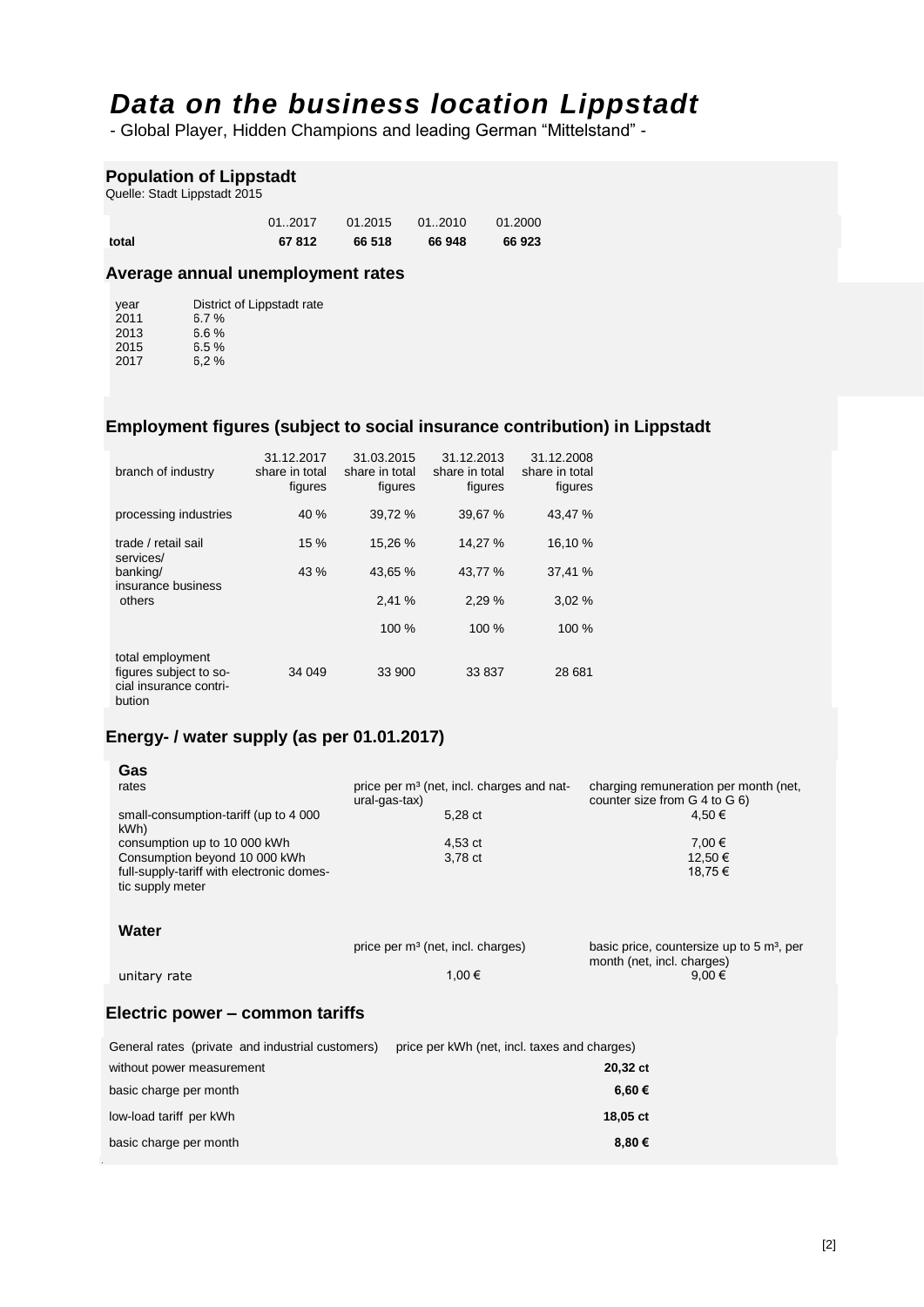# *Data on the business location Lippstadt*

- Global Player, Hidden Champions and leading German "Mittelstand" -

# **Population of Lippstadt**

Quelle: Stadt Lippstadt 2015

| total | 67812   | 66 518 | 66 948             | 66 923  |
|-------|---------|--------|--------------------|---------|
|       | 01.2017 |        | $01.2015$ $012010$ | 01.2000 |

# **Average annual unemployment rates**

| year | District of Lippstadt rate |
|------|----------------------------|
| 2011 | 6.7%                       |
| 2013 | 6.6%                       |
| 2015 | 6.5%                       |
| 2017 | 6.2%                       |

# **Employment figures (subject to social insurance contribution) in Lippstadt**

| branch of industry                                                             | 31.12.2017<br>share in total<br>figures | 31.03.2015<br>share in total<br>figures | 31.12.2013<br>share in total<br>figures | 31.12.2008<br>share in total<br>figures |
|--------------------------------------------------------------------------------|-----------------------------------------|-----------------------------------------|-----------------------------------------|-----------------------------------------|
| processing industries                                                          | 40 %                                    | 39,72 %                                 | 39,67 %                                 | 43,47 %                                 |
| trade / retail sail<br>services/                                               | 15%                                     | 15,26 %                                 | 14,27 %                                 | 16,10 %                                 |
| banking/<br>insurance business                                                 | 43 %                                    | 43.65 %                                 | 43,77 %                                 | 37,41 %                                 |
| others                                                                         |                                         | 2.41 %                                  | 2.29%                                   | 3.02%                                   |
|                                                                                |                                         | 100 %                                   | 100 %                                   | 100 %                                   |
| total employment<br>figures subject to so-<br>cial insurance contri-<br>bution | 34 049                                  | 33 900                                  | 33 837                                  | 28 681                                  |

# **Energy- / water supply (as per 01.01.2017)**

| Gas                                                           |                                                                        |                                                                        |
|---------------------------------------------------------------|------------------------------------------------------------------------|------------------------------------------------------------------------|
| rates                                                         | price per m <sup>3</sup> (net, incl. charges and nat-<br>ural-gas-tax) | charging remuneration per month (net,<br>counter size from G 4 to G 6) |
| small-consumption-tariff (up to 4 000)<br>kWh)                | 5,28 ct                                                                | 4,50 €                                                                 |
| consumption up to 10 000 kWh                                  | 4,53 ct                                                                | 7,00 €                                                                 |
| Consumption beyond 10 000 kWh                                 | 3,78 ct                                                                | 12,50 €                                                                |
| full-supply-tariff with electronic domes-<br>tic supply meter |                                                                        | 18,75€                                                                 |
| Water                                                         | price per m <sup>3</sup> (net, incl. charges)                          | basic price, countersize up to 5 m <sup>3</sup> , per                  |
| unitary rate                                                  | 1,00 €                                                                 | month (net, incl. charges)<br>9,00€                                    |
| Electric power – common tariffs                               |                                                                        |                                                                        |
| General rates (private and industrial customers)              | price per kWh (net, incl. taxes and charges)                           |                                                                        |
| without power measurement                                     |                                                                        | 20,32 ct                                                               |
| basic charge per month                                        |                                                                        | 6,60 €                                                                 |
| low-load tariff per kWh                                       |                                                                        | 18,05 ct                                                               |

basic charge per month **8,80 €**